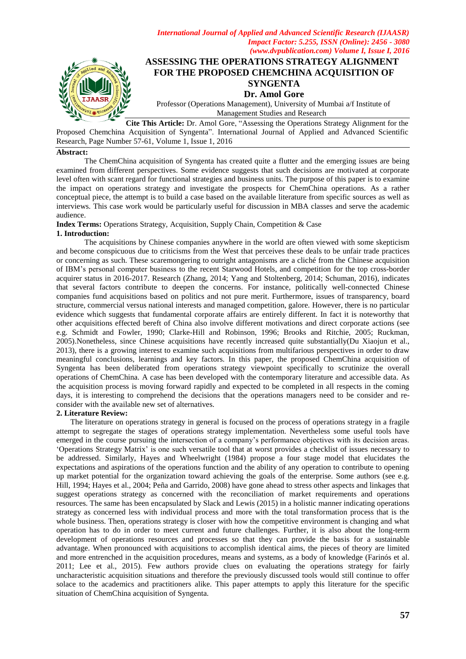

# **ASSESSING THE OPERATIONS STRATEGY ALIGNMENT FOR THE PROPOSED CHEMCHINA ACQUISITION OF SYNGENTA**

**Dr. Amol Gore**

Professor (Operations Management), University of Mumbai a/f Institute of Management Studies and Research

**Cite This Article:** Dr. Amol Gore, "Assessing the Operations Strategy Alignment for the Proposed Chemchina Acquisition of Syngenta". International Journal of Applied and Advanced Scientific Research, Page Number 57-61, Volume 1, Issue 1, 2016

# **Abstract:**

The ChemChina acquisition of Syngenta has created quite a flutter and the emerging issues are being examined from different perspectives. Some evidence suggests that such decisions are motivated at corporate level often with scant regard for functional strategies and business units. The purpose of this paper is to examine the impact on operations strategy and investigate the prospects for ChemChina operations. As a rather conceptual piece, the attempt is to build a case based on the available literature from specific sources as well as interviews. This case work would be particularly useful for discussion in MBA classes and serve the academic audience.

**Index Terms:** Operations Strategy, Acquisition, Supply Chain, Competition & Case **1. Introduction:**

The acquisitions by Chinese companies anywhere in the world are often viewed with some skepticism and become conspicuous due to criticisms from the West that perceives these deals to be unfair trade practices or concerning as such. These scaremongering to outright antagonisms are a cliché from the Chinese acquisition of IBM"s personal computer business to the recent Starwood Hotels, and competition for the top cross-border acquirer status in 2016-2017. Research (Zhang, 2014; Yang and Stoltenberg, 2014; Schuman, 2016), indicates that several factors contribute to deepen the concerns. For instance, politically well-connected Chinese companies fund acquisitions based on politics and not pure merit. Furthermore, issues of transparency, board structure, commercial versus national interests and managed competition, galore. However, there is no particular evidence which suggests that fundamental corporate affairs are entirely different. In fact it is noteworthy that other acquisitions effected bereft of China also involve different motivations and direct corporate actions (see e.g. Schmidt and Fowler, 1990; Clarke-Hill and Robinson, 1996; Brooks and Ritchie, 2005; Ruckman, 2005).Nonetheless, since Chinese acquisitions have recently increased quite substantially(Du Xiaojun et al., 2013), there is a growing interest to examine such acquisitions from multifarious perspectives in order to draw meaningful conclusions, learnings and key factors. In this paper, the proposed ChemChina acquisition of Syngenta has been deliberated from operations strategy viewpoint specifically to scrutinize the overall operations of ChemChina. A case has been developed with the contemporary literature and accessible data. As the acquisition process is moving forward rapidly and expected to be completed in all respects in the coming days, it is interesting to comprehend the decisions that the operations managers need to be consider and reconsider with the available new set of alternatives.

#### **2. Literature Review:**

The literature on operations strategy in general is focused on the process of operations strategy in a fragile attempt to segregate the stages of operations strategy implementation. Nevertheless some useful tools have emerged in the course pursuing the intersection of a company"s performance objectives with its decision areas. "Operations Strategy Matrix" is one such versatile tool that at worst provides a checklist of issues necessary to be addressed. Similarly, Hayes and Wheelwright (1984) propose a four stage model that elucidates the expectations and aspirations of the operations function and the ability of any operation to contribute to opening up market potential for the organization toward achieving the goals of the enterprise. Some authors (see e.g. Hill, 1994; Hayes et al., 2004; Peña and Garrido, 2008) have gone ahead to stress other aspects and linkages that suggest operations strategy as concerned with the reconciliation of market requirements and operations resources. The same has been encapsulated by Slack and Lewis (2015) in a holistic manner indicating operations strategy as concerned less with individual process and more with the total transformation process that is the whole business. Then, operations strategy is closer with how the competitive environment is changing and what operation has to do in order to meet current and future challenges. Further, it is also about the long-term development of operations resources and processes so that they can provide the basis for a sustainable advantage. When pronounced with acquisitions to accomplish identical aims, the pieces of theory are limited and more entrenched in the acquisition procedures, means and systems, as a body of knowledge (Farinós et al. 2011; Lee et al., 2015). Few authors provide clues on evaluating the operations strategy for fairly uncharacteristic acquisition situations and therefore the previously discussed tools would still continue to offer solace to the academics and practitioners alike. This paper attempts to apply this literature for the specific situation of ChemChina acquisition of Syngenta.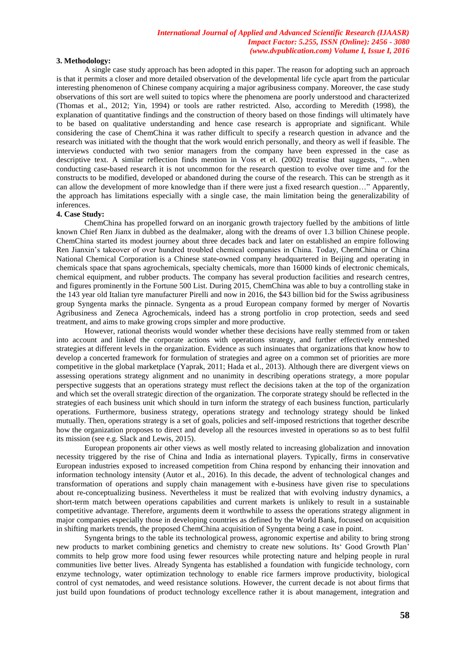#### **3. Methodology:**

A single case study approach has been adopted in this paper. The reason for adopting such an approach is that it permits a closer and more detailed observation of the developmental life cycle apart from the particular interesting phenomenon of Chinese company acquiring a major agribusiness company. Moreover, the case study observations of this sort are well suited to topics where the phenomena are poorly understood and characterized (Thomas et al., 2012; Yin, 1994) or tools are rather restricted. Also, according to Meredith (1998), the explanation of quantitative findings and the construction of theory based on those findings will ultimately have to be based on qualitative understanding and hence case research is appropriate and significant. While considering the case of ChemChina it was rather difficult to specify a research question in advance and the research was initiated with the thought that the work would enrich personally, and theory as well if feasible. The interviews conducted with two senior managers from the company have been expressed in the case as descriptive text. A similar reflection finds mention in Voss et el. (2002) treatise that suggests, "…when conducting case-based research it is not uncommon for the research question to evolve over time and for the constructs to be modified, developed or abandoned during the course of the research. This can be strength as it can allow the development of more knowledge than if there were just a fixed research question…" Apparently, the approach has limitations especially with a single case, the main limitation being the generalizability of inferences.

#### **4. Case Study:**

ChemChina has propelled forward on an inorganic growth trajectory fuelled by the ambitions of little known Chief Ren Jianx in dubbed as the dealmaker, along with the dreams of over 1.3 billion Chinese people. ChemChina started its modest journey about three decades back and later on established an empire following Ren Jianxin"s takeover of over hundred troubled chemical companies in China. Today, ChemChina or China National Chemical Corporation is a Chinese state-owned company headquartered in Beijing and operating in chemicals space that spans agrochemicals, specialty chemicals, more than 16000 kinds of electronic chemicals, chemical equipment, and rubber products. The company has several production facilities and research centres, and figures prominently in the Fortune 500 List. During 2015, ChemChina was able to buy a controlling stake in the 143 year old Italian tyre manufacturer Pirelli and now in 2016, the \$43 billion bid for the Swiss agribusiness group Syngenta marks the pinnacle. Syngenta as a proud European company formed by merger of Novartis Agribusiness and Zeneca Agrochemicals, indeed has a strong portfolio in crop protection, seeds and seed treatment, and aims to make growing crops simpler and more productive.

However, rational theorists would wonder whether these decisions have really stemmed from or taken into account and linked the corporate actions with operations strategy, and further effectively enmeshed strategies at different levels in the organization. Evidence as such insinuates that organizations that know how to develop a concerted framework for formulation of strategies and agree on a common set of priorities are more competitive in the global marketplace (Yaprak, 2011; Hada et al., 2013). Although there are divergent views on assessing operations strategy alignment and no unanimity in describing operations strategy, a more popular perspective suggests that an operations strategy must reflect the decisions taken at the top of the organization and which set the overall strategic direction of the organization. The corporate strategy should be reflected in the strategies of each business unit which should in turn inform the strategy of each business function, particularly operations. Furthermore, business strategy, operations strategy and technology strategy should be linked mutually. Then, operations strategy is a set of goals, policies and self-imposed restrictions that together describe how the organization proposes to direct and develop all the resources invested in operations so as to best fulfil its mission (see e.g. Slack and Lewis, 2015).

European proponents air other views as well mostly related to increasing globalization and innovation necessity triggered by the rise of China and India as international players. Typically, firms in conservative European industries exposed to increased competition from China respond by enhancing their innovation and information technology intensity (Autor et al., 2016). In this decade, the advent of technological changes and transformation of operations and supply chain management with e-business have given rise to speculations about re-conceptualizing business. Nevertheless it must be realized that with evolving industry dynamics, a short-term match between operations capabilities and current markets is unlikely to result in a sustainable competitive advantage. Therefore, arguments deem it worthwhile to assess the operations strategy alignment in major companies especially those in developing countries as defined by the World Bank, focused on acquisition in shifting markets trends, the proposed ChemChina acquisition of Syngenta being a case in point.

Syngenta brings to the table its technological prowess, agronomic expertise and ability to bring strong new products to market combining genetics and chemistry to create new solutions. Its' Good Growth Plan' commits to help grow more food using fewer resources while protecting nature and helping people in rural communities live better lives. Already Syngenta has established a foundation with fungicide technology, corn enzyme technology, water optimization technology to enable rice farmers improve productivity, biological control of cyst nematodes, and weed resistance solutions. However, the current decade is not about firms that just build upon foundations of product technology excellence rather it is about management, integration and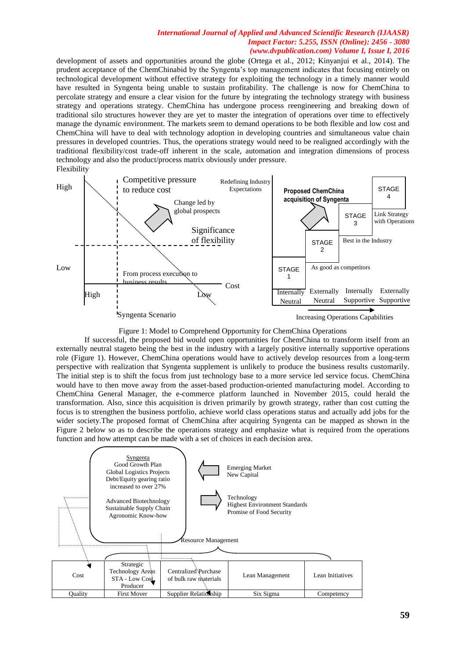development of assets and opportunities around the globe (Ortega et al., 2012; Kinyanjui et al., 2014). The prudent acceptance of the ChemChinabid by the Syngenta"s top management indicates that focusing entirely on technological development without effective strategy for exploiting the technology in a timely manner would have resulted in Syngenta being unable to sustain profitability. The challenge is now for ChemChina to percolate strategy and ensure a clear vision for the future by integrating the technology strategy with business strategy and operations strategy. ChemChina has undergone process reengineering and breaking down of traditional silo structures however they are yet to master the integration of operations over time to effectively manage the dynamic environment. The markets seem to demand operations to be both flexible and low cost and ChemChina will have to deal with technology adoption in developing countries and simultaneous value chain pressures in developed countries. Thus, the operations strategy would need to be realigned accordingly with the traditional flexibility/cost trade-off inherent in the scale, automation and integration dimensions of process technology and also the product/process matrix obviously under pressure.



#### Figure 1: Model to Comprehend Opportunity for ChemChina Operations

If successful, the proposed bid would open opportunities for ChemChina to transform itself from an externally neutral stageto being the best in the industry with a largely positive internally supportive operations role (Figure 1). However, ChemChina operations would have to actively develop resources from a long-term perspective with realization that Syngenta supplement is unlikely to produce the business results customarily. The initial step is to shift the focus from just technology base to a more service led service focus. ChemChina would have to then move away from the asset-based production-oriented manufacturing model. According to ChemChina General Manager, the e-commerce platform launched in November 2015, could herald the transformation. Also, since this acquisition is driven primarily by growth strategy, rather than cost cutting the focus is to strengthen the business portfolio, achieve world class operations status and actually add jobs for the wider society.The proposed format of ChemChina after acquiring Syngenta can be mapped as shown in the Figure 2 below so as to describe the operations strategy and emphasize what is required from the operations function and how attempt can be made with a set of choices in each decision area.

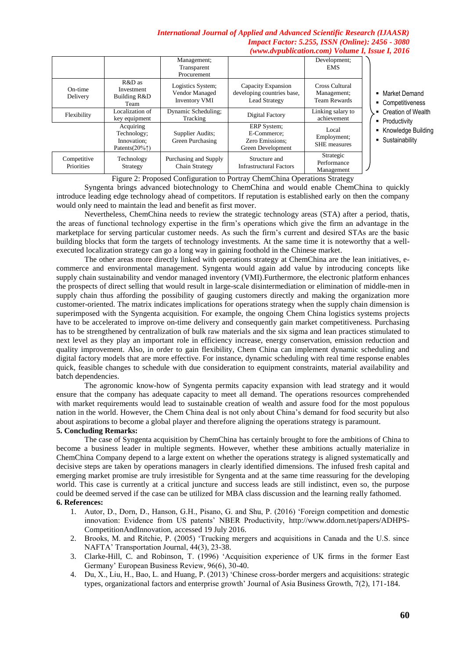|                           |                                                                      | Management;<br>Transparent<br>Procurement                   |                                                                           | Development;<br><b>EMS</b>                           |
|---------------------------|----------------------------------------------------------------------|-------------------------------------------------------------|---------------------------------------------------------------------------|------------------------------------------------------|
| On-time<br>Delivery       | R&D as<br>Investment<br>Building R&D<br>Team                         | Logistics System;<br>Vendor Managed<br><b>Inventory VMI</b> | Capacity Expansion<br>developing countries base,<br><b>Lead Strategy</b>  | Cross Cultural<br>Management:<br><b>Team Rewards</b> |
| Flexibility               | Localization of<br>key equipment                                     | Dynamic Scheduling;<br>Tracking                             | Digital Factory                                                           | Linking salary to<br>achievement                     |
|                           | Acquiring<br>Technology;<br>Innovation:<br>Patents $(20\% \uparrow)$ | Supplier Audits;<br>Green Purchasing                        | <b>ERP</b> System:<br>E-Commerce:<br>Zero Emissions:<br>Green Development | Local<br>Employment;<br><b>SHE</b> measures          |
| Competitive<br>Priorities | Technology<br>Strategy                                               | Purchasing and Supply<br>Chain Strategy                     | Structure and<br><b>Infrastructural Factors</b>                           | Strategic<br>Performance<br>Management               |

Market Demand

- **Competitiveness**
- Creation of Wealth
- Productivity
- Knowledge Building
- **Sustainability**

Figure 2: Proposed Configuration to Portray ChemChina Operations Strategy

Syngenta brings advanced biotechnology to ChemChina and would enable ChemChina to quickly introduce leading edge technology ahead of competitors. If reputation is established early on then the company would only need to maintain the lead and benefit as first mover.

Nevertheless, ChemChina needs to review the strategic technology areas (STA) after a period, thatis, the areas of functional technology expertise in the firm"s operations which give the firm an advantage in the marketplace for serving particular customer needs. As such the firm"s current and desired STAs are the basic building blocks that form the targets of technology investments. At the same time it is noteworthy that a wellexecuted localization strategy can go a long way in gaining foothold in the Chinese market.

The other areas more directly linked with operations strategy at ChemChina are the lean initiatives, ecommerce and environmental management. Syngenta would again add value by introducing concepts like supply chain sustainability and vendor managed inventory (VMI). Furthermore, the electronic platform enhances the prospects of direct selling that would result in large-scale disintermediation or elimination of middle-men in supply chain thus affording the possibility of gauging customers directly and making the organization more customer-oriented. The matrix indicates implications for operations strategy when the supply chain dimension is superimposed with the Syngenta acquisition. For example, the ongoing Chem China logistics systems projects have to be accelerated to improve on-time delivery and consequently gain market competitiveness. Purchasing has to be strengthened by centralization of bulk raw materials and the six sigma and lean practices stimulated to next level as they play an important role in efficiency increase, energy conservation, emission reduction and quality improvement. Also, in order to gain flexibility, Chem China can implement dynamic scheduling and digital factory models that are more effective. For instance, dynamic scheduling with real time response enables quick, feasible changes to schedule with due consideration to equipment constraints, material availability and batch dependencies.

The agronomic know-how of Syngenta permits capacity expansion with lead strategy and it would ensure that the company has adequate capacity to meet all demand. The operations resources comprehended with market requirements would lead to sustainable creation of wealth and assure food for the most populous nation in the world. However, the Chem China deal is not only about China"s demand for food security but also about aspirations to become a global player and therefore aligning the operations strategy is paramount.

# **5. Concluding Remarks:**

The case of Syngenta acquisition by ChemChina has certainly brought to fore the ambitions of China to become a business leader in multiple segments. However, whether these ambitions actually materialize in ChemChina Company depend to a large extent on whether the operations strategy is aligned systematically and decisive steps are taken by operations managers in clearly identified dimensions. The infused fresh capital and emerging market promise are truly irresistible for Syngenta and at the same time reassuring for the developing world. This case is currently at a critical juncture and success leads are still indistinct, even so, the purpose could be deemed served if the case can be utilized for MBA class discussion and the learning really fathomed.

- **6. References:**
	- 1. Autor, D., Dorn, D., Hanson, G.H., Pisano, G. and Shu, P. (2016) "Foreign competition and domestic innovation: Evidence from US patents" NBER Productivity, http://www.ddorn.net/papers/ADHPS-CompetitionAndInnovation, accessed 19 July 2016.
	- 2. Brooks, M. and Ritchie, P. (2005) "Trucking mergers and acquisitions in Canada and the U.S. since NAFTA' Transportation Journal, 44(3), 23-38.
	- 3. Clarke-Hill, C. and Robinson, T. (1996) "Acquisition experience of UK firms in the former East Germany" European Business Review, 96(6), 30-40.
	- 4. Du, X., Liu, H., Bao, L. and Huang, P. (2013) "Chinese cross-border mergers and acquisitions: strategic types, organizational factors and enterprise growth" Journal of Asia Business Growth, 7(2), 171-184.